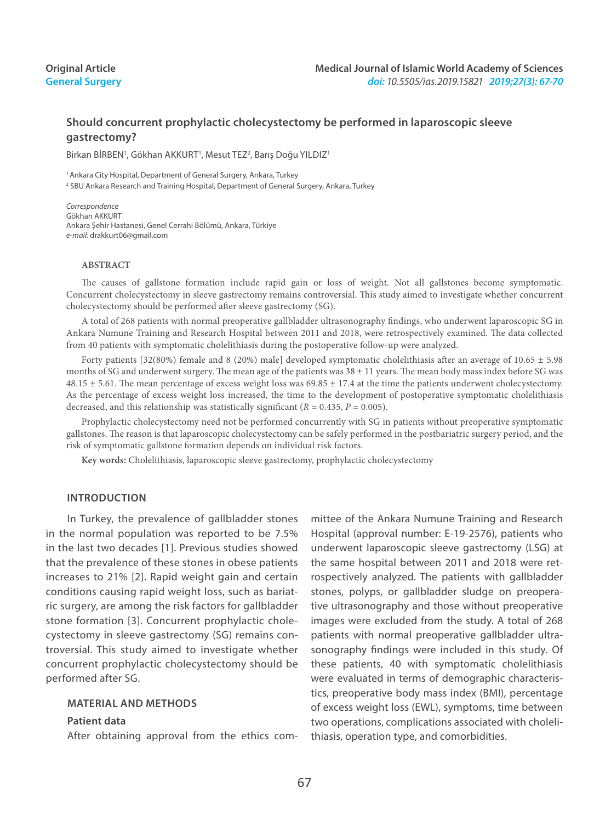# **Original Article General Surgery**

# **Should concurrent prophylactic cholecystectomy be performed in laparoscopic sleeve gastrectomy?**

Birkan BİRBEN<sup>1</sup>, Gökhan AKKURT<sup>1</sup>, Mesut TEZ<sup>2</sup>, Barış Doğu YILDIZ<sup>1</sup>

<sup>1</sup> Ankara City Hospital, Department of General Surgery, Ankara, Turkey 2 SBU Ankara Research and Training Hospital, Department of General Surgery, Ankara, Turkey

*Correspondence* Gökhan AKKURT Ankara Şehir Hastanesi, Genel Cerrahi Bölümü, Ankara, Türkiye *e-mail:* drakkurt06@gmail.com

#### **ABSTRACT**

The causes of gallstone formation include rapid gain or loss of weight. Not all gallstones become symptomatic. Concurrent cholecystectomy in sleeve gastrectomy remains controversial. This study aimed to investigate whether concurrent cholecystectomy should be performed after sleeve gastrectomy (SG).

A total of 268 patients with normal preoperative gallbladder ultrasonography findings, who underwent laparoscopic SG in Ankara Numune Training and Research Hospital between 2011 and 2018, were retrospectively examined. The data collected from 40 patients with symptomatic cholelithiasis during the postoperative follow-up were analyzed.

Forty patients [32(80%) female and 8 (20%) male] developed symptomatic cholelithiasis after an average of 10.65 ± 5.98 months of SG and underwent surgery. The mean age of the patients was  $38 \pm 11$  years. The mean body mass index before SG was  $48.15 \pm 5.61$ . The mean percentage of excess weight loss was  $69.85 \pm 17.4$  at the time the patients underwent cholecystectomy. As the percentage of excess weight loss increased, the time to the development of postoperative symptomatic cholelithiasis decreased, and this relationship was statistically significant ( $R = 0.435$ ,  $P = 0.005$ ).

Prophylactic cholecystectomy need not be performed concurrently with SG in patients without preoperative symptomatic gallstones. The reason is that laparoscopic cholecystectomy can be safely performed in the postbariatric surgery period, and the risk of symptomatic gallstone formation depends on individual risk factors.

**Key words:** Cholelithiasis, laparoscopic sleeve gastrectomy, prophylactic cholecystectomy

#### **Introduction**

In Turkey, the prevalence of gallbladder stones in the normal population was reported to be 7.5% in the last two decades [1]. Previous studies showed that the prevalence of these stones in obese patients increases to 21% [2]. Rapid weight gain and certain conditions causing rapid weight loss, such as bariatric surgery, are among the risk factors for gallbladder stone formation [3]. Concurrent prophylactic cholecystectomy in sleeve gastrectomy (SG) remains controversial. This study aimed to investigate whether concurrent prophylactic cholecystectomy should be performed after SG.

#### **MATERIAL AND METHODS**

#### **Patient data**

After obtaining approval from the ethics com-

mittee of the Ankara Numune Training and Research Hospital (approval number: E-19-2576), patients who underwent laparoscopic sleeve gastrectomy (LSG) at the same hospital between 2011 and 2018 were retrospectively analyzed. The patients with gallbladder stones, polyps, or gallbladder sludge on preoperative ultrasonography and those without preoperative images were excluded from the study. A total of 268 patients with normal preoperative gallbladder ultrasonography findings were included in this study. Of these patients, 40 with symptomatic cholelithiasis were evaluated in terms of demographic characteristics, preoperative body mass index (BMI), percentage of excess weight loss (EWL), symptoms, time between two operations, complications associated with cholelithiasis, operation type, and comorbidities.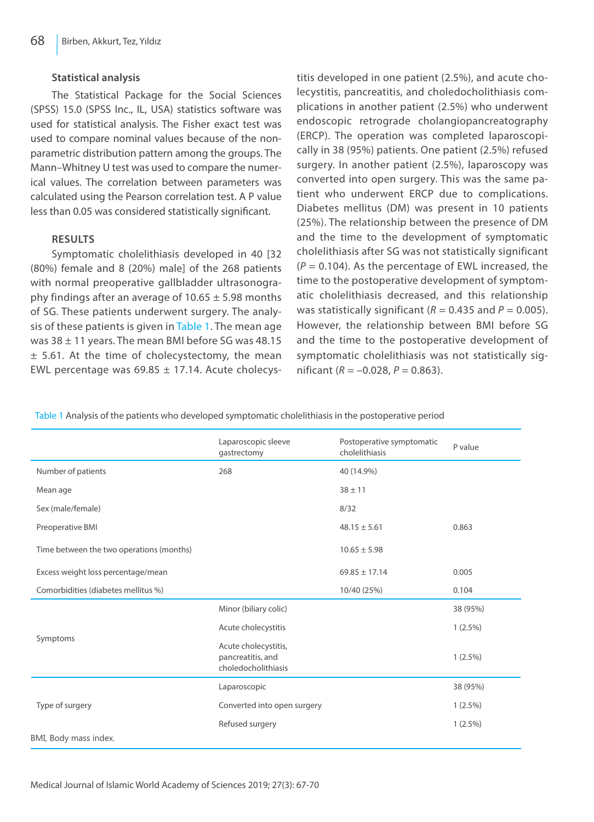### **Statistical analysis**

The Statistical Package for the Social Sciences (SPSS) 15.0 (SPSS Inc., IL, USA) statistics software was used for statistical analysis. The Fisher exact test was used to compare nominal values because of the nonparametric distribution pattern among the groups. The Mann–Whitney U test was used to compare the numerical values. The correlation between parameters was calculated using the Pearson correlation test. A P value less than 0.05 was considered statistically significant.

### **Results**

Symptomatic cholelithiasis developed in 40 [32 (80%) female and 8 (20%) male] of the 268 patients with normal preoperative gallbladder ultrasonography findings after an average of  $10.65 \pm 5.98$  months of SG. These patients underwent surgery. The analysis of these patients is given in Table 1. The mean age was 38 ± 11 years. The mean BMI before SG was 48.15  $±$  5.61. At the time of cholecystectomy, the mean EWL percentage was  $69.85 \pm 17.14$ . Acute cholecystitis developed in one patient (2.5%), and acute cholecystitis, pancreatitis, and choledocholithiasis complications in another patient (2.5%) who underwent endoscopic retrograde cholangiopancreatography (ERCP). The operation was completed laparoscopically in 38 (95%) patients. One patient (2.5%) refused surgery. In another patient (2.5%), laparoscopy was converted into open surgery. This was the same patient who underwent ERCP due to complications. Diabetes mellitus (DM) was present in 10 patients (25%). The relationship between the presence of DM and the time to the development of symptomatic cholelithiasis after SG was not statistically significant  $(P = 0.104)$ . As the percentage of EWL increased, the time to the postoperative development of symptomatic cholelithiasis decreased, and this relationship was statistically significant ( $R = 0.435$  and  $P = 0.005$ ). However, the relationship between BMI before SG and the time to the postoperative development of symptomatic cholelithiasis was not statistically significant (*R* = –0.028, *P* = 0.863).

Table 1 Analysis of the patients who developed symptomatic cholelithiasis in the postoperative period

|                                          | Laparoscopic sleeve<br>gastrectomy                               | Postoperative symptomatic<br>cholelithiasis | P value    |
|------------------------------------------|------------------------------------------------------------------|---------------------------------------------|------------|
| Number of patients                       | 268                                                              | 40 (14.9%)                                  |            |
| Mean age                                 |                                                                  | $38 + 11$                                   |            |
| Sex (male/female)                        |                                                                  | 8/32                                        |            |
| Preoperative BMI                         |                                                                  | $48.15 \pm 5.61$                            | 0.863      |
| Time between the two operations (months) |                                                                  | $10.65 \pm 5.98$                            |            |
| Excess weight loss percentage/mean       |                                                                  | $69.85 \pm 17.14$                           | 0.005      |
| Comorbidities (diabetes mellitus %)      |                                                                  | 10/40 (25%)                                 | 0.104      |
| Symptoms                                 | Minor (biliary colic)                                            |                                             | 38 (95%)   |
|                                          | Acute cholecystitis                                              |                                             | $1(2.5\%)$ |
|                                          | Acute cholecystitis,<br>pancreatitis, and<br>choledocholithiasis |                                             | $1(2.5\%)$ |
| Type of surgery                          | Laparoscopic                                                     |                                             | 38 (95%)   |
|                                          | Converted into open surgery                                      |                                             | $1(2.5\%)$ |
|                                          | Refused surgery                                                  |                                             | $1(2.5\%)$ |
| BMI, Body mass index.                    |                                                                  |                                             |            |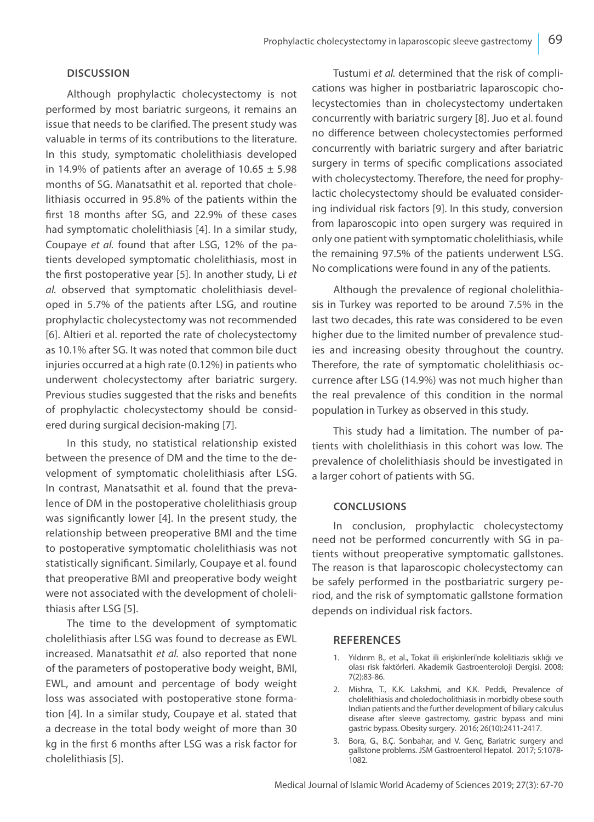## **Discussion**

Although prophylactic cholecystectomy is not performed by most bariatric surgeons, it remains an issue that needs to be clarified. The present study was valuable in terms of its contributions to the literature. In this study, symptomatic cholelithiasis developed in 14.9% of patients after an average of  $10.65 \pm 5.98$ months of SG. Manatsathit et al. reported that cholelithiasis occurred in 95.8% of the patients within the first 18 months after SG, and 22.9% of these cases had symptomatic cholelithiasis [4]. In a similar study, Coupaye *et al.* found that after LSG, 12% of the patients developed symptomatic cholelithiasis, most in the first postoperative year [5]. In another study, Li *et al.* observed that symptomatic cholelithiasis developed in 5.7% of the patients after LSG, and routine prophylactic cholecystectomy was not recommended [6]. Altieri et al. reported the rate of cholecystectomy as 10.1% after SG. It was noted that common bile duct injuries occurred at a high rate (0.12%) in patients who underwent cholecystectomy after bariatric surgery. Previous studies suggested that the risks and benefits of prophylactic cholecystectomy should be considered during surgical decision-making [7].

In this study, no statistical relationship existed between the presence of DM and the time to the development of symptomatic cholelithiasis after LSG. In contrast, Manatsathit et al. found that the prevalence of DM in the postoperative cholelithiasis group was significantly lower [4]. In the present study, the relationship between preoperative BMI and the time to postoperative symptomatic cholelithiasis was not statistically significant. Similarly, Coupaye et al. found that preoperative BMI and preoperative body weight were not associated with the development of cholelithiasis after LSG [5].

The time to the development of symptomatic cholelithiasis after LSG was found to decrease as EWL increased. Manatsathit *et al.* also reported that none of the parameters of postoperative body weight, BMI, EWL, and amount and percentage of body weight loss was associated with postoperative stone formation [4]. In a similar study, Coupaye et al. stated that a decrease in the total body weight of more than 30 kg in the first 6 months after LSG was a risk factor for cholelithiasis [5].

Tustumi *et al.* determined that the risk of complications was higher in postbariatric laparoscopic cholecystectomies than in cholecystectomy undertaken concurrently with bariatric surgery [8]. Juo et al. found no difference between cholecystectomies performed concurrently with bariatric surgery and after bariatric surgery in terms of specific complications associated with cholecystectomy. Therefore, the need for prophylactic cholecystectomy should be evaluated considering individual risk factors [9]. In this study, conversion from laparoscopic into open surgery was required in only one patient with symptomatic cholelithiasis, while the remaining 97.5% of the patients underwent LSG. No complications were found in any of the patients.

Although the prevalence of regional cholelithiasis in Turkey was reported to be around 7.5% in the last two decades, this rate was considered to be even higher due to the limited number of prevalence studies and increasing obesity throughout the country. Therefore, the rate of symptomatic cholelithiasis occurrence after LSG (14.9%) was not much higher than the real prevalence of this condition in the normal population in Turkey as observed in this study.

This study had a limitation. The number of patients with cholelithiasis in this cohort was low. The prevalence of cholelithiasis should be investigated in a larger cohort of patients with SG.

### **Conclusions**

In conclusion, prophylactic cholecystectomy need not be performed concurrently with SG in patients without preoperative symptomatic gallstones. The reason is that laparoscopic cholecystectomy can be safely performed in the postbariatric surgery period, and the risk of symptomatic gallstone formation depends on individual risk factors.

### **REFERENCES**

- 1. Yıldırım B., et al., Tokat ili erişkinleri'nde kolelitiazis sıklığı ve olası risk faktörleri. Akademik Gastroenteroloji Dergisi. 2008; 7(2):83-86.
- 2. Mishra, T., K.K. Lakshmi, and K.K. Peddi, Prevalence of cholelithiasis and choledocholithiasis in morbidly obese south Indian patients and the further development of biliary calculus disease after sleeve gastrectomy, gastric bypass and mini gastric bypass. Obesity surgery. 2016; 26(10):2411-2417.
- 3. Bora, G., B.Ç. Sonbahar, and V. Genç, Bariatric surgery and gallstone problems. JSM Gastroenterol Hepatol. 2017; 5:1078- 1082.